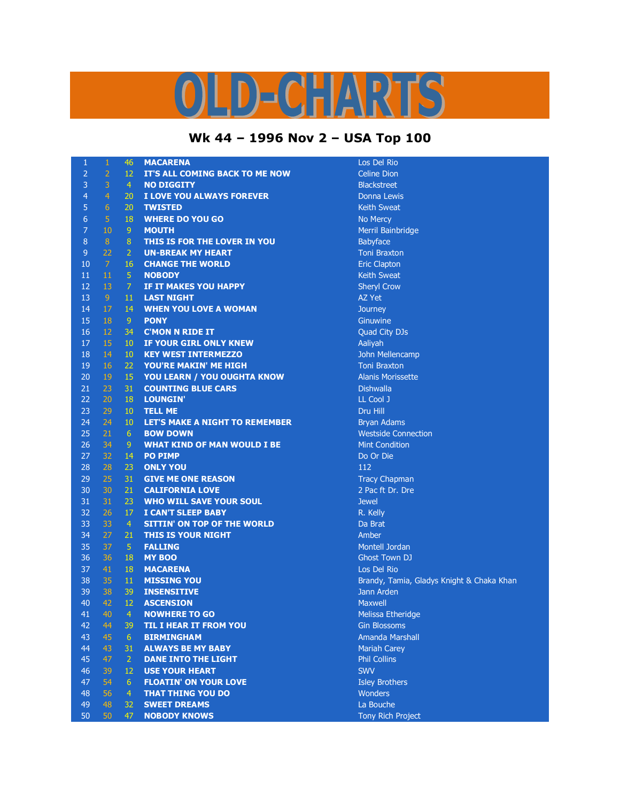## $D = C = A R^2$

## **Wk 44 – 1996 Nov 2 – USA Top 100**

| 1               | $\mathbf{1}$    | 46              | <b>MACARENA</b>                       | Los Del R          |
|-----------------|-----------------|-----------------|---------------------------------------|--------------------|
| $\overline{2}$  | $\overline{a}$  | 12              | IT'S ALL COMING BACK TO ME NOW        | <b>Celine Dio</b>  |
| 3               | 3               | $\overline{4}$  | <b>NO DIGGITY</b>                     | <b>Blackstree</b>  |
| $\overline{4}$  | $\overline{4}$  | 20              | I LOVE YOU ALWAYS FOREVER             | Donna Le           |
| 5               | 6               | 20              | <b>TWISTED</b>                        | Keith Swe          |
| $\sqrt{6}$      | $\overline{5}$  | 18              | <b>WHERE DO YOU GO</b>                | No Mercy           |
| $\overline{7}$  | 10              | $\overline{9}$  | <b>MOUTH</b>                          | Merril Bai         |
| $\,8\,$         | 8               | $\bf 8$         | THIS IS FOR THE LOVER IN YOU          | <b>Babyface</b>    |
| $\overline{9}$  | 22              | $\overline{2}$  | <b>UN-BREAK MY HEART</b>              | <b>Toni Brax</b>   |
| 10              | $\overline{7}$  | 16              | <b>CHANGE THE WORLD</b>               | <b>Eric Clapt</b>  |
| 11              | 11              | $\overline{5}$  | <b>NOBODY</b>                         | Keith Swe          |
| 12              | 13              | $\overline{7}$  | IF IT MAKES YOU HAPPY                 | Sheryl Cro         |
| 13              | $\overline{9}$  | 11              | <b>LAST NIGHT</b>                     | AZ Yet             |
| 14              | 17              | 14              | <b>WHEN YOU LOVE A WOMAN</b>          | Journey            |
| 15              | 18              | 9               | <b>PONY</b>                           | Ginuwine           |
| 16              | 12              | 34              | <b>C'MON N RIDE IT</b>                | Quad City          |
| 17              | 15              | 10              | IF YOUR GIRL ONLY KNEW                | Aaliyah            |
| 18              | 14              | 10              | <b>KEY WEST INTERMEZZO</b>            | John Mell          |
| 19              | 16              | 22              | YOU'RE MAKIN' ME HIGH                 | <b>Toni Brax</b>   |
| 20              | 19              | 15              | YOU LEARN / YOU OUGHTA KNOW           | <b>Alanis Mo</b>   |
| 21              | 23              | 31              | <b>COUNTING BLUE CARS</b>             | <b>Dishwalla</b>   |
| 22              | 20              | 18              | <b>LOUNGIN'</b>                       | LL Cool J          |
| 23              | 29              | 10              | <b>TELL ME</b>                        | Dru Hill           |
| 24              | 24              | 10              | <b>LET'S MAKE A NIGHT TO REMEMBER</b> | <b>Bryan Ada</b>   |
| 25              | 21              | 6               | <b>BOW DOWN</b>                       | Westside           |
| 26              | 34              | 9               | <b>WHAT KIND OF MAN WOULD I BE</b>    | <b>Mint Cond</b>   |
| 27              | 32              | 14              | <b>PO PIMP</b>                        | Do Or Die          |
| 28              | 28              | 23              | <b>ONLY YOU</b>                       | 112                |
| 29              | 25              | 31              | <b>GIVE ME ONE REASON</b>             | <b>Tracy Cha</b>   |
| 30              | 30              | 21              | <b>CALIFORNIA LOVE</b>                | 2 Pac ft D         |
| 31              | 31              | 23              | <b>WHO WILL SAVE YOUR SOUL</b>        | <b>Jewel</b>       |
| 32              | 26              | 17              | <b>I CAN'T SLEEP BABY</b>             | R. Kelly           |
| 33              | 33              | $\overline{4}$  | <b>SITTIN' ON TOP OF THE WORLD</b>    | Da Brat            |
| 34              | 27              | 21              | <b>THIS IS YOUR NIGHT</b>             | Amber              |
| 35              | 37              | $\overline{5}$  | <b>FALLING</b>                        | Montell Jo         |
| 36              | 36              | 18              | <b>MY BOO</b>                         | <b>Ghost Tov</b>   |
| 37              | 41              | 18              | <b>MACARENA</b>                       | Los Del R          |
| 38              | 35              | 11              | <b>MISSING YOU</b>                    | Brandy, T          |
| 39              | 38              | 39              | <b>INSENSITIVE</b>                    | Jann Arde          |
| 40              | 42              | 12              | <b>ASCENSION</b>                      | <b>Maxwell</b>     |
| $41 -$          | 40              | $-4$            | <b>NOWHERE TO GO</b>                  | Melissa Et         |
| 42              | 44              | 39              | <b>TIL I HEAR IT FROM YOU</b>         | Gin Bloss          |
| 43              | 45              | 6 <sup>1</sup>  | <b>BIRMINGHAM</b>                     | Amanda I           |
| 44              | 43              | 31              | <b>ALWAYS BE MY BABY</b>              | <b>Mariah Ca</b>   |
| 45              | 47              | $\overline{2}$  | <b>DANE INTO THE LIGHT</b>            | <b>Phil Collin</b> |
| 46              | 39              | 12 <sup>2</sup> | <b>USE YOUR HEART</b>                 | <b>SWV</b>         |
| 47              | 54              | 6 <sup>1</sup>  | <b>FLOATIN' ON YOUR LOVE</b>          | <b>Isley Brot</b>  |
| 48              | 56              | $\overline{4}$  | <b>THAT THING YOU DO</b>              | <b>Wonders</b>     |
| 49              | 48              | 32              | <b>SWEET DREAMS</b>                   | La Bouch           |
| 50 <sub>1</sub> | 50 <sub>1</sub> | 47 <sup>°</sup> | <b>NORODY KNOWS</b>                   | <b>Tony Dick</b>   |

Los Del Rio **Celine Dion Blackstreet Donna Lewis Keith Sweat No Mercy Merril Bainbridge Babyface Toni Braxton Eric Clapton Keith Sweat Sheryl Crow Ginuwine Quad City DJs John Mellencamp Toni Braxton Alanis Morissette Bryan Adams Westside Connection Mint Condition** Do Or Die **Tracy Chapman** 2 Pac ft Dr. Dre **Montell Jordan Ghost Town DJ** Los Del Rio Brandy, Tamia, Gladys Knight & Chaka Khan **Jann Arden Melissa Etheridge Gin Blossoms** Amanda Marshall **Mariah Carey Phil Collins Isley Brothers** 

La Bouche **Tony Rich Project**